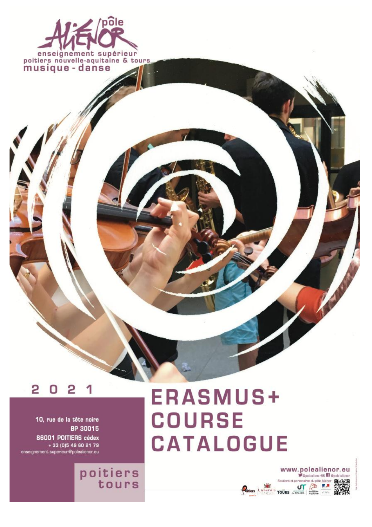

#### 2 Ω

10, rue de la tête noire BP 30015 86001 POITIERS cédex + 33 (0) 5 49 60 21 79 enseignement.superieur@polealienor.eu

poitiers<br>tours

**ERASMUS+ COURSE CATALOGUE** 

#### www.polealienor.eu Copplealiencr86 3 Opplelatiencr rtenaires du pôle Aliénor 回波观回 Bitiers Light Tours Tours The EA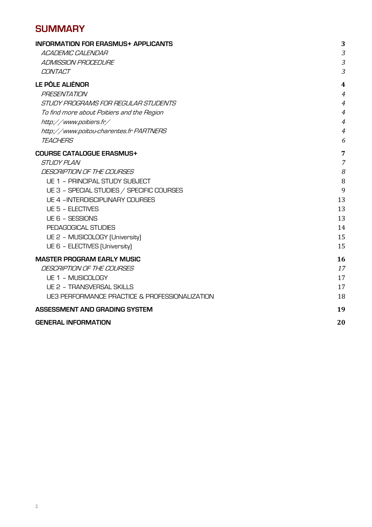## **SUMMARY**

| <b>INFORMATION FOR ERASMUS+ APPLICANTS</b>     | 3                       |
|------------------------------------------------|-------------------------|
| <b>ACADEMIC CALENDAR</b>                       | 3                       |
| <b>ADMISSION PROCEDURE</b>                     | 3                       |
| CONTACT                                        | 3                       |
| LE PÔLE ALIÉNOR                                | $\overline{\mathbf{4}}$ |
| <b>PRESENTATION</b>                            | $\overline{4}$          |
| STUDY PROGRAMS FOR REGULAR STUDENTS            | $\overline{4}$          |
| To find more about Poitiers and the Region     | $\overline{4}$          |
| http://www.poitiers.fr/                        | $\overline{4}$          |
| http://www.poitou-charentes.fr PARTNERS        | $\overline{4}$          |
| <b>TEACHERS</b>                                | 6                       |
| <b>COURSE CATALOGUE ERASMUS+</b>               | 7                       |
| <i>STUDY PLAN</i>                              | $\overline{7}$          |
| DESCRIPTION OF THE COURSES                     | 8                       |
| UE 1 - PRINCIPAL STUDY SUBJECT                 | 8                       |
| UE 3 - SPECIAL STUDIES / SPECIFIC COURSES      | 9                       |
| <b>UE 4 - INTERDISCIPLINARY COURSES</b>        | 13                      |
| UE 5 - ELECTIVES                               | 13                      |
| UE 6 - SESSIONS                                | 13                      |
| PEDAGOGICAL STUDIES                            | 14                      |
| UE 2 - MUSICOLOGY (University)                 | 15                      |
| UE 6 - ELECTIVES (University)                  | 15                      |
| <b>MASTER PROGRAM EARLY MUSIC</b>              | 16                      |
| DESCRIPTION OF THE COURSES                     | 17                      |
| UE 1 - MUSICOLOGY                              | 17                      |
| <b>UE 2 - TRANSVERSAL SKILLS</b>               | 17                      |
| UE3 PERFORMANCE PRACTICE & PROFESSIONALIZATION | 18                      |
| ASSESSMENT AND GRADING SYSTEM                  | 19                      |
| <b>GENERAL INFORMATION</b>                     | 20                      |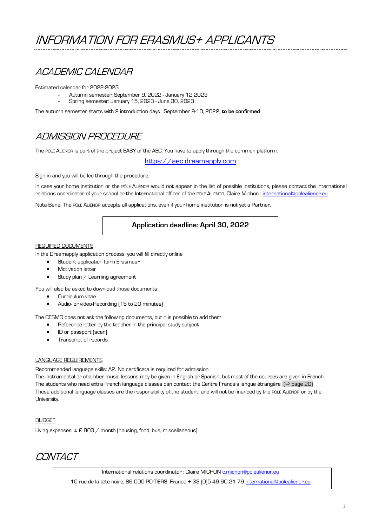## ACADEMIC CALENDAR

Estimated calendar for 2022-2023

- Autumn semester: September 9, 2022 January 12 2023
- Spring semester: January 15, 2023 June 30, 2023

The autumn semester starts with 2 introduction days : September 9-10, 2022, **to be confirmed**

## ADMISSION PROCEDURE

The PÔLE ALIÉNOR is part of the project EASY of the AEC. You have to apply through the common platform.

https://aec.dreamapply.com

Sign in and you will be led through the procedure.

In case your home institution or the PÔLE ALIÉNOR would not appear in the list of possible institutions, please contact the international relations coordinator of your school or the International officer of the PÔLE ALIÉNOR, Claire Michon : international@polealienor.eu

Nota Bene: The PÔLE ALIÉNOR accepts all applications, even if your home institution is not yet a Partner.

### **Application deadline: April 30, 2022**

#### REQUIRED DOCUMENTS

In the Dreamapply application process, you will fill directly online

- Student application form Erasmus+
- **Motivation letter**
- Study plan / Learning agreement

You will also be asked to download those documents:

- Curriculum vitae
- Audio- or video-Recording (15 to 20 minutes)

The CESMD does not ask the following documents, but it is possible to add them:

- Reference letter by the teacher in the principal study subject
- ID or passport (scan)
- Transcript of records

#### LANGUAGE REQUIREMENTS

Recommended language skills: A2. No certificate is required for admission

The instrumental or chamber music lessons may be given in English or Spanish, but most of the courses are given in French. The students who need extra French language classes can contact the Centre Français langue étrangère  $(\Rightarrow)$  page 20) These additional language classes are the responsibility of the student, and will not be financed by the PÔLE ALIÉNOR or by the University.

#### BUDGET

Living expenses:  $\pm \epsilon$  800 / month (housing, food, bus, miscellaneous)

## **CONTACT**

International relations coordinator : Claire MICHON c.michon@polealienor.eu

10 rue de la tête noire, 86 000 POITIERS France + 33 (0)5 49 60 21 79 international@polealienor.eu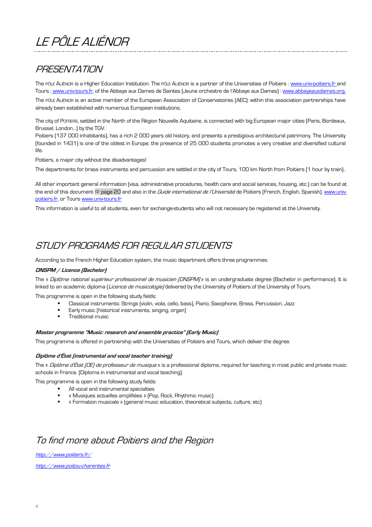# LE PÔLE ALIÉNOR

## PRESENTATION

The PÔLE ALIÉNOR is a Higher Education Institution. The PÔLE ALIÉNOR is a partner of the Universities of Poitiers : www.univ-poitiers.fr and Tours : www.univ-tours.fr, of the Abbaye aux Dames de Saintes (Jeune orchestre de l'Abbaye aux Dames) : www.abbayeauxdames.org.

The PÔLE ALIÉNOR is an active member of the European Association of Conservatoires (AEC): within this association partnerships have already been established with numerous European institutions.

The city of POITIERS, settled in the North of the Région Nouvelle Aquitaine, is connected with big European major cities (Paris, Bordeaux, Brussel, London…) by the TGV.

Poitiers (137 000 inhabitants), has a rich 2 000 years old history, and presents a prestigious architectural patrimony. The University (founded in 1431) is one of the oldest in Europe; the presence of 25 000 students promotes a very creative and diversified cultural life.

Poitiers, a major city without the disadvantages!

The departments for brass instruments and percussion are settled in the city of Tours, 100 km North from Poitiers (1 hour by train)..

All other important general information (visa, administrative procedures, health care and social services, housing, etc.) can be found at the end of this document  $\Leftrightarrow$  page 20 and also in the *Guide international de l'Université* de Poitiers (French, English, Spanish). www.univpoitiers.fr, or Tours www.univ-tours.fr

This information is useful to all students, even for exchange-students who will not necessary be registered at the University.

## STUDY PROGRAMS FOR REGULAR STUDENTS

According to the French Higher Education system, the music department offers three programmes:

#### **DNSPM / Licence (Bachelor)**

The « Diplôme national supérieur professionnel de musicien (DNSPM) » is an undergraduate degree (Bachelor in performance). It is linked to an academic diploma (Licence de musicologie) delivered by the University of Poitiers of the University of Tours.

This programme is open in the following study fields:

- § Classical instruments: Strings (violin, viola, cello, bass), Piano, Saxophone, Brass, Percussion, Jazz
- Early music (historical instruments, singing, organ)
- § Traditional music

#### **Master programme "Music: research and ensemble practice" (Early Music)**

This programme is offered in partnership with the Universities of Poitiers and Tours, which deliver the degree.

#### **Diplôme d'État (instrumental and vocal teacher training)**

The « Diplôme d'État (DE) de professeur de musique » is a professional diploma, required for teaching in most public and private music schools in France. (Diploma in instrumental and vocal teaching).

This programme is open in the following study fields:

- § All vocal and instrumental specialties
- § « Musiques actuelles amplifiées » (Pop, Rock, Rhythmic music)
- § « Formation musicale » (general music education, theoretical subjects, culture, etc)

## To find more about Poitiers and the Region

http://www.poitiers.fr/

http://www.poitou-charentes.fr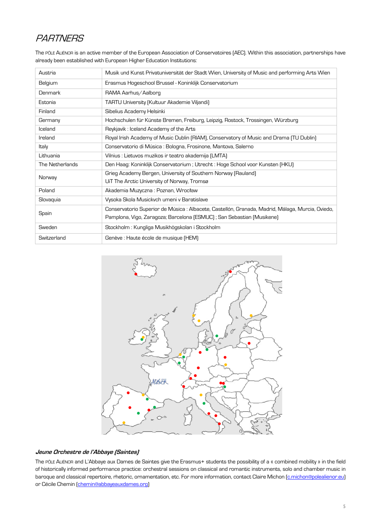# **PARTNERS**

The PÔLE ALIÉNOR is an active member of the European Association of Conservatoires (AEC). Within this association, partnerships have already been established with European Higher Education Institutions:

| Austria         | Musik und Kunst Privatuniversität der Stadt Wien, University of Music and performing Arts Wien   |
|-----------------|--------------------------------------------------------------------------------------------------|
| Belgium         | Erasmus Hogeschool Brussel - Koninklijk Conservatorium                                           |
| Denmark         | RAMA Aarhus/Aalborg                                                                              |
| Estonia         | <b>TARTU University (Kultuur Akademie Viljandi)</b>                                              |
| Finland         | Sibelius Academy Helsinki                                                                        |
| Germany         | Hochschulen für Künste Bremen, Freiburg, Leipzig, Rostock, Trossingen, Würzburg                  |
| Iceland         | Reykjavik: Iceland Academy of the Arts                                                           |
| Ireland         | Royal Irish Academy of Music Dublin (RIAM), Conservatory of Music and Drama (TU Dublin)          |
| Italy           | Conservatorio di Música : Bologna, Frosinone, Mantova, Salerno                                   |
| Lithuania       | Vilnius : Lietuvos muzikos ir teatro akademija (LMTA)                                            |
| The Netherlands | Den Haag: Koninklijk Conservatorium; Utrecht: Hoge School voor Kunsten (HKU)                     |
| Norway          | Grieg Academy Bergen, University of Southern Norway (Rauland)                                    |
|                 | UiT The Arctic University of Norway, Tromsø                                                      |
| Poland          | Akademia Muzyczna: Poznan, Wrocław                                                               |
| Slovaquia       | Vysoka Skola Musickvch umeni v Baratislave                                                       |
|                 | Conservatorio Superior de Música : Albacete, Castellón, Granada, Madrid, Málaga, Murcia, Oviedo, |
| Spain           | Pamplona, Vigo, Zaragoza; Barcelona (ESMUC); San Sebastian (Musikene)                            |
| Sweden          | Stockholm : Kungliga Musikhögskolan i Stockholm                                                  |
| Switzerland     | Genève : Haute école de musique (HEM)                                                            |



#### **Jeune Orchestre de l'Abbaye (Saintes)**

The PÔLE ALIÉNOR and L'Abbaye aux Dames de Saintes give the Erasmus+ students the possibility of a « combined mobility » in the field of historically informed performance practice: orchestral sessions on classical and romantic instruments, solo and chamber music in baroque and classical repertoire, rhetoric, ornamentation, etc. For more information, contact Claire Michon (*c.michon@polealienor.eu*) or Cécile Chemin (chemin@abbayeauxdames.org)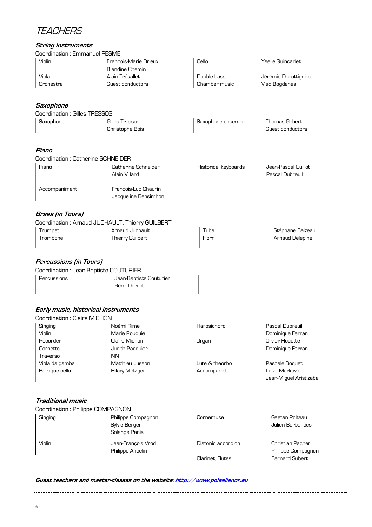## **TEACHERS**

### **String Instruments**

| Coordination: Emmanuel PESME           |                                                      |                               |                                                            |
|----------------------------------------|------------------------------------------------------|-------------------------------|------------------------------------------------------------|
| Violin                                 | Francois-Marie Drieux                                | Cello                         | Yaëlle Quincarlet                                          |
|                                        | <b>Blandine Chemin</b>                               |                               |                                                            |
| Viola                                  | Alain Trésallet                                      | Double bass                   | Jérémie Decottignies                                       |
| Orchestra                              | Guest conductors                                     | Chamber music                 | Vlad Bogdanas                                              |
| Saxophone                              |                                                      |                               |                                                            |
| Coordination: Gilles TRESSOS           |                                                      |                               |                                                            |
| Saxophone                              | Gilles Tressos<br>Christophe Bois                    | Saxophone ensemble            | <b>Thomas Gobert</b><br>Guest conductors                   |
| Piano                                  |                                                      |                               |                                                            |
| Coordination: Catherine SCHNEIDER      |                                                      |                               |                                                            |
| Piano                                  | Catherine Schneider<br>Alain Villard                 | Historical keyboards          | Jean-Pascal Guillot<br>Pascal Dubreuil                     |
| Accompaniment                          | François-Luc Chaurin<br>Jacqueline Bensimhon         |                               |                                                            |
| <b>Brass (in Tours)</b>                |                                                      |                               |                                                            |
|                                        | Coordination: Arnaud JUCHAULT, Thierry GUILBERT      |                               |                                                            |
| Trumpet                                | Arnaud Juchault                                      | Tuba                          | Stéphane Balzeau                                           |
| Trombone                               | Thierry Guilbert                                     | Horn                          | Arnaud Delépine                                            |
| Percussions (in Tours)                 |                                                      |                               |                                                            |
| Coordination : Jean-Baptiste COUTURIER |                                                      |                               |                                                            |
| Percussions                            | Jean-Baptiste Couturier<br>Rémi Durupt               |                               |                                                            |
| Early music, historical instruments    |                                                      |                               |                                                            |
| Coordination : Claire MICHON           |                                                      |                               |                                                            |
| Singing                                | Noémi Rime                                           | Harpsichord                   | Pascal Dubreuil                                            |
| Violin                                 | Marie Rouquié                                        |                               | Dominique Ferran                                           |
| Recorder                               | Claire Michon                                        | Organ                         | Olivier Houette                                            |
| Cornetto                               | Judith Pacquier                                      |                               | Dominique Ferran                                           |
| Traverso                               | <b>NN</b>                                            |                               |                                                            |
| Viola da gamba<br>Baroque cello        | Matthieu Lusson<br>Hilary Metzger                    | Lute & theorbo<br>Accompanist | Pascale Boquet<br>Lujza Marková<br>Jean-Miguel Aristizabal |
| Traditional music                      |                                                      |                               |                                                            |
| Coordination: Philippe COMPAGNON       |                                                      |                               |                                                            |
| Singing                                | Philippe Compagnon<br>Sylvie Berger<br>Solange Panis | Cornemuse                     | Gaëtan Polteau<br>Julien Barbances                         |
| Violin                                 | Jean-François Vrod<br>Philippe Ancelin               | Diatonic accordion            | Christian Pacher<br>Philippe Compagnon                     |
|                                        |                                                      | Clarinet, Flutes              | <b>Bernard Subert</b>                                      |

### **Guest teachers and master-classes on the website: http://www.polealienor.eu**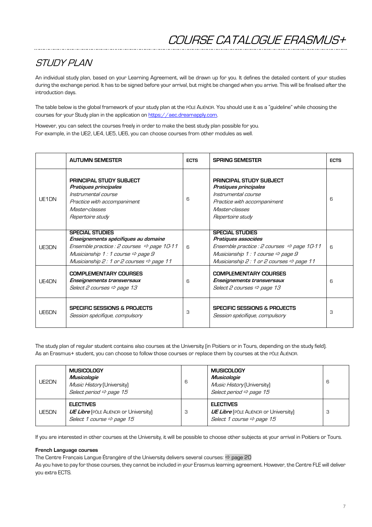# STI INY PI AN

An individual study plan, based on your Learning Agreement, will be drawn up for you. It defines the detailed content of your studies during the exchange period. It has to be signed before your arrival, but might be changed when you arrive. This will be finalised after the introduction days.

The table below is the global framework of your study plan at the PÔLE ALIÉNOR. You should use it as a "guideline" while choosing the courses for your Study plan in the application on https://aec.dreamapply.com.

However, you can select the courses freely in order to make the best study plan possible for you. For example, in the UE2, UE4, UE5, UE6, you can choose courses from other modules as well.

|               | <b>AUTUMN SEMESTER</b>                                                                                                                                                                                                             | <b>ECTS</b>  | <b>SPRING SEMESTER</b>                                                                                                                                                                                           | <b>ECTS</b> |
|---------------|------------------------------------------------------------------------------------------------------------------------------------------------------------------------------------------------------------------------------------|--------------|------------------------------------------------------------------------------------------------------------------------------------------------------------------------------------------------------------------|-------------|
| LIF1DN        | <b>PRINCIPAL STUDY SUBJECT</b><br>Pratiques principales<br>Instrumental course<br>Practice with accompaniment<br><i>Master-classes</i><br>Repertoire study                                                                         | 6            | <b>PRINCIPAL STUDY SUBJECT</b><br>Pratiques principales<br>Instrumental course<br>Practice with accompaniment<br><i>Master-classes</i><br>Repertoire study                                                       | 6           |
| <b>LIE3DN</b> | <b>SPECIAL STUDIES</b><br>Enseignements spécifiques au domaine<br>Ensemble practice : 2 courses $\Rightarrow$ page 10-11<br>Musicianship 1 : 1 course $\Rightarrow$ page 9<br>Musicianship 2: 1 or 2 courses $\Rightarrow$ page 11 | 6            | <b>SPECIAL STUDIES</b><br>Pratiques associées<br>Ensemble practice : 2 courses $\Rightarrow$ page 10-11<br>Musicianship 1: 1 course $\Rightarrow$ page 9<br>Musicianship 2: 1 or 2 courses $\Rightarrow$ page 11 | 6           |
| UE4DN         | <b>COMPLEMENTARY COURSES</b><br>Enseignements transversaux<br>Select 2 courses $\Rightarrow$ page 13                                                                                                                               | <sub>6</sub> | <b>COMPLEMENTARY COURSES</b><br>Enseignements transversaux<br>Select 2 courses $\Rightarrow$ page 13                                                                                                             | 6           |
| <b>LIFRDN</b> | SPECIFIC SESSIONS & PROJECTS<br>Session spécifique, compulsory                                                                                                                                                                     | 3            | SPECIFIC SESSIONS & PROJECTS<br>Session spécifique, compulsory                                                                                                                                                   | З           |

The study plan of regular student contains also courses at the University (in Poitiers or in Tours, depending on the study field). As an Erasmus+ student, you can choose to follow those courses or replace them by courses at the PÔLE ALIÉNOR.

| UE2DN | <b>MUSICOLOGY</b><br><b>Musicologie</b><br>Music History (University)<br>Select period $\Rightarrow$ page 15 | 6 | <b>MUSICOLOGY</b><br>Musicologie<br>Music History (University)<br>Select period $\Rightarrow$ page 15     | 6 |
|-------|--------------------------------------------------------------------------------------------------------------|---|-----------------------------------------------------------------------------------------------------------|---|
| UE5DN | <b>ELECTIVES</b><br><b>UE Libre</b> (PÔLE ALIÉNOR or University)<br>Select 1 course $\Rightarrow$ page 15    | З | <b>ELECTIVES</b><br><b>UE Libre</b> (PÔLE ALIÉNOR or University)<br>Select 1 course $\Rightarrow$ page 15 | 3 |

If you are interested in other courses at the University, it will be possible to choose other subjects at your arrival in Poitiers or Tours.

#### **French Language courses**

The Centre Français Langue Étrangère of the University delivers several courses:  $\Rightarrow$  page 20

As you have to pay for those courses, they cannot be included in your Erasmus learning agreement. However, the Centre FLE will deliver you extra ECTS.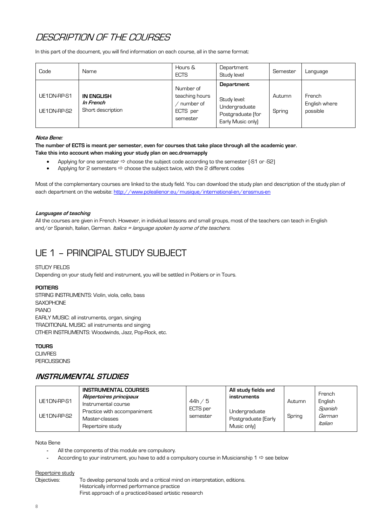## DESCRIPTION OF THE COURSES

In this part of the document, you will find information on each course, all in the same format:

| Code                       | Name                                                | Hours &<br><b>ECTS</b>                                           | Department<br>Study level                                                             | Semester         | Language                            |
|----------------------------|-----------------------------------------------------|------------------------------------------------------------------|---------------------------------------------------------------------------------------|------------------|-------------------------------------|
| UE1DN-RP-S1<br>UE1DN-RP-S2 | <b>IN ENGLISH</b><br>In French<br>Short description | Number of<br>teaching hours<br>number of<br>ECTS per<br>semester | Department<br>Study level:<br>Undergraduate<br>Postgraduate (for<br>Early Music only) | Autumn<br>Spring | French<br>English where<br>possible |

#### **Nota Bene:**

**The number of ECTS is meant per semester, even for courses that take place through all the academic year. Take this into account when making your study plan on aec.dreamapply**

- Applying for one semester  $\Rightarrow$  choose the subject code according to the semester [-S1 or -S2]
- Applying for 2 semesters  $\Rightarrow$  choose the subject twice, with the 2 different codes

Most of the complementary courses are linked to the study field. You can download the study plan and description of the study plan of each department on the website: http://www.polealienor.eu/musique/international-en/erasmus-en

#### **Languages of teaching**

All the courses are given in French. However, in individual lessons and small groups, most of the teachers can teach in English and/or Spanish, Italian, German. *Italics = language spoken by some of the teachers.* 

## UE 1 – PRINCIPAL STUDY SUBJECT

#### STUDY FIELDS

Depending on your study field and instrument, you will be settled in Poitiers or in Tours.

#### **POITIERS**

STRING INSTRUMENTS: Violin, viola, cello, bass **SAXOPHONE** PIANO EARLY MUSIC: all instruments, organ, singing TRADITIONAL MUSIC: all instruments and singing OTHER INSTRUMENTS: Woodwinds, Jazz, Pop-Rock, etc.

#### **TOURS**

CUIVRES PERCUSSIONS

### **INSTRUMENTAL STUDIES**

| UE1DN-RP-S1<br>UE1DN-RP-S2 | <b>INSTRUMENTAL COURSES</b><br>Répertoires principaux<br>Instrumental course<br>Practice with accompaniment<br>Master-classes | 44h/5<br>ECTS per<br>semester | All study fields and<br>instruments<br>Undergraduate<br>Postgraduate (Early | Autumn<br>Spring | French<br>English<br>Spanish<br>German |
|----------------------------|-------------------------------------------------------------------------------------------------------------------------------|-------------------------------|-----------------------------------------------------------------------------|------------------|----------------------------------------|
|                            | Repertoire study                                                                                                              |                               | Music only)                                                                 |                  | Italian                                |

Nota Bene

- All the components of this module are compulsory.
- According to your instrument, you have to add a compulsory course in Musicianship 1  $\Rightarrow$  see below

#### Repertoire study

Objectives: To develop personal tools and a critical mind on interpretation, editions. Historically informed performance practice First approach of a practiced-based artistic research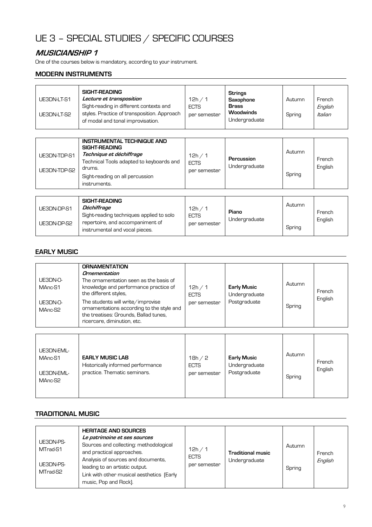# UE 3 – SPECIAL STUDIES / SPECIFIC COURSES

### **MUSICIANSHIP 1**

One of the courses below is mandatory, according to your instrument.

### **MODERN INSTRUMENTS**

| SIGHT-READING<br>Lecture et transposition<br>UE3DN-LT-S1<br>Sight-reading in different contexts and<br>styles. Practice of transposition. Approach<br>UE3DN-LT-S2<br>of modal and tonal improvisation. | 12h / 1<br><b>ECTS</b><br>per semester | Strings<br>Saxophone<br><b>Brass</b><br><b>Woodwinds</b><br>Undergraduate | Autumn<br>Spring | French<br>English<br>Italian |
|--------------------------------------------------------------------------------------------------------------------------------------------------------------------------------------------------------|----------------------------------------|---------------------------------------------------------------------------|------------------|------------------------------|
|--------------------------------------------------------------------------------------------------------------------------------------------------------------------------------------------------------|----------------------------------------|---------------------------------------------------------------------------|------------------|------------------------------|

| UE3DN-TDP-S1<br>UE3DN-TDP-S2 | <b>INSTRUMENTAL TECHNIQUE AND</b><br>SIGHT-READING<br>Technique et déchiffrage<br>Technical Tools adapted to keyboards and<br>drums.<br>Sight-reading on all percussion<br>instruments. | 12h / 1<br><b>ECTS</b><br>per semester | Percussion<br>Undergraduate | Autumn<br>Spring | French<br>English |
|------------------------------|-----------------------------------------------------------------------------------------------------------------------------------------------------------------------------------------|----------------------------------------|-----------------------------|------------------|-------------------|
| <b>IF3DN-DP-S1</b>           | SIGHT-READING<br>Déchiffrage                                                                                                                                                            | 12h / 1                                |                             | Autumn           |                   |

| UE3DN-DP-S1 | Déchiffrage                                                        |                     |               | Autumn |         |
|-------------|--------------------------------------------------------------------|---------------------|---------------|--------|---------|
|             | Sight-reading techniques applied to solo                           | 12h.<br><b>ECTS</b> | Piano         |        | French  |
| UE3DN-DP-S2 | repertoire, and accompaniment of<br>instrumental and vocal pieces. | per semester        | Undergraduate | Spring | English |

### **EARLY MUSIC**

| <b>ORNAMENTATION</b><br>Ornementation<br>UE3DN-0-<br>The ornamentation seen as the basis of<br>knowledge and performance practice of<br>MAnc-S1<br>the different styles,<br>The students will write/improvise<br>UE3DN-0-<br>ornamentations according to the style and<br>MAnc-S2<br>the treatises: Grounds, Ballad tunes,<br>ricercare, diminution, etc. | 12h / 1<br><b>ECTS</b><br>per semester | <b>Early Music</b><br>Undergraduate<br>Postgraduate | Autumn<br>Spring | French<br>English |
|-----------------------------------------------------------------------------------------------------------------------------------------------------------------------------------------------------------------------------------------------------------------------------------------------------------------------------------------------------------|----------------------------------------|-----------------------------------------------------|------------------|-------------------|
|-----------------------------------------------------------------------------------------------------------------------------------------------------------------------------------------------------------------------------------------------------------------------------------------------------------------------------------------------------------|----------------------------------------|-----------------------------------------------------|------------------|-------------------|

| UE3DN-EML-<br>MAnc-S1<br>UE3DN-EML-<br>MAnc-S2 | <b>EARLY MUSIC LAB</b><br>Historically informed performance<br>practice. Thematic seminars. | 18h / 2<br><b>ECTS</b><br>per semester | <b>Early Music</b><br>Undergraduate<br>Postgraduate | Autumn<br>Spring | French<br>English |
|------------------------------------------------|---------------------------------------------------------------------------------------------|----------------------------------------|-----------------------------------------------------|------------------|-------------------|
|------------------------------------------------|---------------------------------------------------------------------------------------------|----------------------------------------|-----------------------------------------------------|------------------|-------------------|

#### **TRADITIONAL MUSIC**

| UE3DN-PS-<br>MTrad-S1<br>UE3DN-PS-<br>MTrad-S2 | <b>HERITAGE AND SOURCES</b><br>Le patrimoine et ses sources<br>Sources and collecting: methodological<br>and practical approaches.<br>Analysis of sources and documents,<br>leading to an artistic output.<br>Link with other musical aesthetics [Early<br>music, Pop and Rock). | 12h / 1<br><b>ECTS</b><br>per semester | Traditional music<br>Undergraduate | Autumn<br>Spring | French<br>English |
|------------------------------------------------|----------------------------------------------------------------------------------------------------------------------------------------------------------------------------------------------------------------------------------------------------------------------------------|----------------------------------------|------------------------------------|------------------|-------------------|
|------------------------------------------------|----------------------------------------------------------------------------------------------------------------------------------------------------------------------------------------------------------------------------------------------------------------------------------|----------------------------------------|------------------------------------|------------------|-------------------|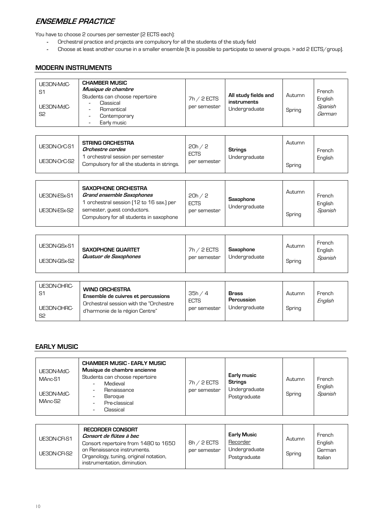## **ENSEMBLE PRACTICE**

You have to choose 2 courses per semester (2 ECTS each):

- Orchestral practice and projects are compulsory for all the students of the study field
- Choose at least another course in a smaller ensemble (It is possible to participate to several groups. > add 2 ECTS/group).

### **MODERN INSTRUMENTS**

| UE3DN-MdC-<br>S1<br>UE3DN-MdC-<br>S <sub>2</sub> | <b>CHAMBER MUSIC</b><br>Musique de chambre<br>Students can choose repertoire<br>Classical<br>Romantical<br>Contemporary<br>Early music | $7h / 2$ ECTS<br>per semester | All study fields and<br>instruments<br>Undergraduate | Autumn<br>Spring | French<br>English<br>Spanish<br>German |
|--------------------------------------------------|----------------------------------------------------------------------------------------------------------------------------------------|-------------------------------|------------------------------------------------------|------------------|----------------------------------------|
|--------------------------------------------------|----------------------------------------------------------------------------------------------------------------------------------------|-------------------------------|------------------------------------------------------|------------------|----------------------------------------|

| UE3DN-OrC-S1 | <b>STRING ORCHESTRA</b><br>Orchestre cordes                                    | 20h / 2                     | <b>Strings</b> | Autumn | French  |
|--------------|--------------------------------------------------------------------------------|-----------------------------|----------------|--------|---------|
| UE3DN-OrC-S2 | orchestral session per semester<br>Compulsory for all the students in strings. | <b>ECTS</b><br>per semester | Undergraduate  | Spring | Enalish |

| UE3DN-ESx-S1<br>UE3DN-ESx-S2 | <b>SAXOPHONE ORCHESTRA</b><br><b>Grand ensemble Saxophones</b><br>1 orchestral session (12 to 16 sax.) per<br>semester, quest conductors.<br>Compulsory for all students in saxophone | 20h / 2<br><b>ECTS</b><br>per semester | Saxophone<br>Undergraduate | Autumn<br>Spring | French<br>English<br>Spanish |
|------------------------------|---------------------------------------------------------------------------------------------------------------------------------------------------------------------------------------|----------------------------------------|----------------------------|------------------|------------------------------|
|------------------------------|---------------------------------------------------------------------------------------------------------------------------------------------------------------------------------------|----------------------------------------|----------------------------|------------------|------------------------------|

| UE3DN-QSx-S1<br>UE3DN-QSx-S2 | <b>SAXOPHONE QUARTET</b><br>Quatuor de Saxophones | $7h / 2$ ECTS<br>per semester | Saxophone<br>Undergraduate | Autumn<br>Spring | French<br>English<br>Spanish |
|------------------------------|---------------------------------------------------|-------------------------------|----------------------------|------------------|------------------------------|
|------------------------------|---------------------------------------------------|-------------------------------|----------------------------|------------------|------------------------------|

| UE3DN-OHRC-<br>S1<br>UE3DN-OHRC-<br>S2 | <b>WIND ORCHESTRA</b><br>Ensemble de cuivres et percussions<br>Orchestral session with the "Orchestre"<br>d'harmonie de la région Centre" | 35h/4<br><b>ECTS</b><br>per semester | <b>Brass</b><br>Percussion<br>Undergraduate | Autumn<br>Spring | French<br>English |
|----------------------------------------|-------------------------------------------------------------------------------------------------------------------------------------------|--------------------------------------|---------------------------------------------|------------------|-------------------|
|----------------------------------------|-------------------------------------------------------------------------------------------------------------------------------------------|--------------------------------------|---------------------------------------------|------------------|-------------------|

### **EARLY MUSIC**

| UE3DN-MdC-<br>MAnc-S1<br>UE3DN-MdC-<br>MAnc-S2 | <b>CHAMBER MUSIC - EARLY MUSIC</b><br>Musique de chambre ancienne<br>Students can choose repertoire<br>Medieval<br>Renaissance<br>Baroque<br>Pre-classical<br>Classical | $7h / 2$ ECTS<br>per semester | Early music<br><b>Strings</b><br>Undergraduate<br>Postgraduate | Autumn<br>Spring | French<br>English<br>Spanish |
|------------------------------------------------|-------------------------------------------------------------------------------------------------------------------------------------------------------------------------|-------------------------------|----------------------------------------------------------------|------------------|------------------------------|
|------------------------------------------------|-------------------------------------------------------------------------------------------------------------------------------------------------------------------------|-------------------------------|----------------------------------------------------------------|------------------|------------------------------|

| <b>RECORDER CONSORT</b><br>Consort de flûtes à bec<br>UE3DN-CFI-S1<br>Consort repertoire from 1480 to 1650<br>on Renaissance instruments.<br>UE3DN-CFI-S2<br>Organology, tuning, original notation,<br>instrumentation, diminution. | $8h / 2$ ECTS<br>per semester | <b>Early Music</b><br>Recorder<br>Undergraduate<br>Postgraduate | Autumn<br>Spring | French<br>English<br>German<br>Italian |
|-------------------------------------------------------------------------------------------------------------------------------------------------------------------------------------------------------------------------------------|-------------------------------|-----------------------------------------------------------------|------------------|----------------------------------------|
|-------------------------------------------------------------------------------------------------------------------------------------------------------------------------------------------------------------------------------------|-------------------------------|-----------------------------------------------------------------|------------------|----------------------------------------|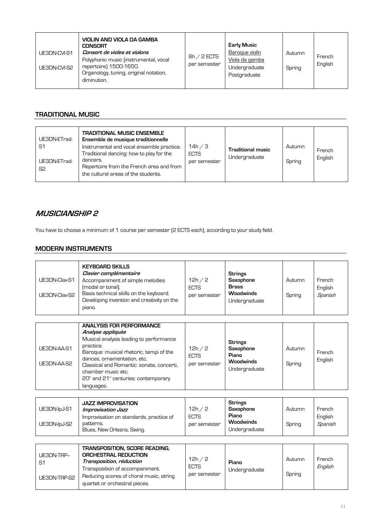| UE3DN-CVI-S1<br>UE3DN-CVI-S2 | VIOLIN AND VIOLA DA GAMBA<br><b>CONSORT</b><br>Consort de violes et violons<br>Polyphonic music (instrumental, vocal<br>repertoire) 1500-1650.<br>Organology, tuning, original notation,<br>diminution. | $8h / 2$ ECTS<br>per semester | <b>Early Music</b><br>Baroque violin<br>Viola da gamba<br>Undergraduate<br>Postgraduate | Autumn<br>Spring | French<br>English |
|------------------------------|---------------------------------------------------------------------------------------------------------------------------------------------------------------------------------------------------------|-------------------------------|-----------------------------------------------------------------------------------------|------------------|-------------------|
|------------------------------|---------------------------------------------------------------------------------------------------------------------------------------------------------------------------------------------------------|-------------------------------|-----------------------------------------------------------------------------------------|------------------|-------------------|

### **TRADITIONAL MUSIC**

| UE3DN-ETrad-<br>S1<br>UE3DN-ETrad-<br>S <sub>2</sub> | <b>TRADITIONAL MUSIC ENSEMBLE</b><br>Ensemble de musique traditionnelle<br>Instrumental and vocal ensemble practice.<br>Traditional dancing: how to play for the<br>dancers.<br>Repertoire from the French area and from<br>the cultural areas of the students. | 14h / 3<br><b>ECTS</b><br>per semester | <b>Traditional music</b><br>Undergraduate | Autumn<br>Spring | French<br>English |
|------------------------------------------------------|-----------------------------------------------------------------------------------------------------------------------------------------------------------------------------------------------------------------------------------------------------------------|----------------------------------------|-------------------------------------------|------------------|-------------------|
|------------------------------------------------------|-----------------------------------------------------------------------------------------------------------------------------------------------------------------------------------------------------------------------------------------------------------------|----------------------------------------|-------------------------------------------|------------------|-------------------|

### **MUSICIANSHIP 2**

You have to choose a minimum of 1 course per semester (2 ECTS each), according to your study field.

### **MODERN INSTRUMENTS**

| UE3DN-Clav-S1<br>UE3DN-Clav-S2 | <b>KEYBOARD SKILLS</b><br>Clavier complémentaire<br>Accompaniment of simple melodies<br>(modal or tonal).<br>Basis technical skills on the keyboard.<br>Developing invention and creativity on the<br>piano.                                                                                                         | 12h / 2<br><b>ECTS</b><br>per semester | <b>Strings</b><br><b>Saxophone</b><br><b>Brass</b><br><b>Woodwinds</b><br>Undergraduate | Autumn<br>Spring | French<br>English<br>Spanish |
|--------------------------------|----------------------------------------------------------------------------------------------------------------------------------------------------------------------------------------------------------------------------------------------------------------------------------------------------------------------|----------------------------------------|-----------------------------------------------------------------------------------------|------------------|------------------------------|
| UE3DN-AA-S1<br>UE3DN-AA-S2     | <b>ANALYSIS FOR PERFORMANCE</b><br>Analyse appliquée<br>Musical analysis leading to performance<br>practice.<br>Baroque: musical rhetoric, tempi of the<br>dances, ornamentation, etc.<br>Classical and Romantic: sonate, concerti,<br>chamber music etc.<br>$20th$ and $21th$ centuries: contemporary<br>languages. | 12h / 2<br><b>ECTS</b><br>per semester | <b>Strings</b><br><b>Saxophone</b><br>Piano<br><b>Woodwinds</b><br>Undergraduate        | Autumn<br>Spring | French<br>English            |
| <b>IERONLIA LS1</b>            | <b>JAZZ IMPROVISATION</b><br>Impousection loss                                                                                                                                                                                                                                                                       | 12h/2                                  | <b>Strings</b><br>Savonhone                                                             | Autumn           | Fronch                       |

|              | <b>JAZZ IMPROVISATION</b>                                                          |                             | <b>Strings</b>                             |        |                    |
|--------------|------------------------------------------------------------------------------------|-----------------------------|--------------------------------------------|--------|--------------------|
| UE3DN-IpJ-S1 | Improvisation Jazz                                                                 | 12h/2                       | Saxophone                                  | Autumn | French             |
| UE3DN-lpJ-S2 | Improvisation on standards, practice of<br>patterns.<br>Blues, New Orleans, Swing. | <b>ECTS</b><br>per semester | Piano<br><b>Woodwinds</b><br>Undergraduate | Spring | English<br>Spanish |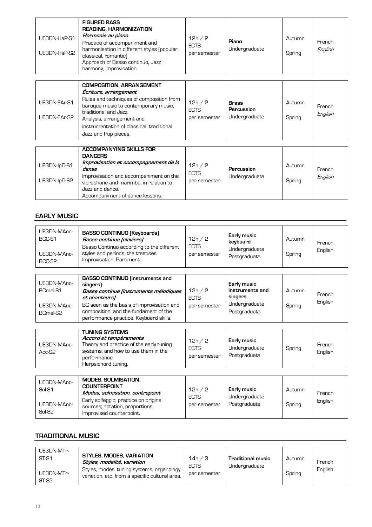| UE3DN-HaP-S1<br>UE3DN-HaP-S2 | <b>FIGURED BASS</b><br><b>READING, HARMONIZATION</b><br>Harmonie au piano<br>Practice of accompaniment and<br>harmonisation in different styles (popular,<br>classical, romantic)<br>Approach of Basso continuo, Jazz | 12h $/2$<br><b>ECTS</b><br>per semester | Piano<br>Undergraduate | Autumn<br>Spring | French<br>English |
|------------------------------|-----------------------------------------------------------------------------------------------------------------------------------------------------------------------------------------------------------------------|-----------------------------------------|------------------------|------------------|-------------------|
|                              | harmony, improvisation.                                                                                                                                                                                               |                                         |                        |                  |                   |

| UE3DN-EAr-S1<br>UE3DN-EAr-S2 | <b>COMPOSITION, ARRANGEMENT</b><br>Ecriture, arrangement<br>Rules and techniques of composition from<br>baroque music to contemporary music.<br>traditional and Jazz.<br>Analysis, arrangement and<br>instrumentation of classical, traditional,<br>Jazz and Pop pieces. | 12h/2<br><b>ECTS</b><br>per semester | <b>Brass</b><br>Percussion<br>Undergraduate | Autumn<br>Spring | French<br>English |
|------------------------------|--------------------------------------------------------------------------------------------------------------------------------------------------------------------------------------------------------------------------------------------------------------------------|--------------------------------------|---------------------------------------------|------------------|-------------------|
|                              |                                                                                                                                                                                                                                                                          |                                      |                                             |                  |                   |
|                              | <b>ACCOMPANYING SKILLS FOR</b>                                                                                                                                                                                                                                           |                                      |                                             |                  |                   |
|                              | <b>DANCERS</b>                                                                                                                                                                                                                                                           |                                      |                                             |                  |                   |
| UE3DN-IpD-S1                 | Improvisation et accompagnement de la                                                                                                                                                                                                                                    | 12h/2                                |                                             | Autumn           |                   |
|                              | danse                                                                                                                                                                                                                                                                    | <b>ECTS</b>                          | Percussion                                  |                  | French            |
| UE3DN-lpD-S2                 | Improvisation and accompaniment on the<br>vibraphone and marimba, in relation to                                                                                                                                                                                         | per semester                         | Undergraduate                               | Spring           | English           |

### **EARLY MUSIC**

Jazz and dance.

Accompaniment of dance lessons.

| UE3DN-MAnc-<br>BCC-S1<br>UE3DN-MAnc-<br>BCC-S2             | <b>BASSO CONTINUO (Keyboards)</b><br>Basse continue [claviers]<br>Basso Continuo according to the different<br>styles and periods, the treatises.<br>Improvisation, Partimenti.                                                               | 12h/2<br><b>ECTS</b><br>per semester   | Early music<br>keyboard<br>Undergraduate<br>Postgraduate                   | Autumn<br>Spring | French<br>English |
|------------------------------------------------------------|-----------------------------------------------------------------------------------------------------------------------------------------------------------------------------------------------------------------------------------------------|----------------------------------------|----------------------------------------------------------------------------|------------------|-------------------|
| UE3DN-MAnc-<br>BCmel-S1<br>UE3DN-MAnc-<br>BCmel-S2         | <b>BASSO CONTINUO</b> (instruments and<br>singers)<br>Basse continue (instruments mélodiques<br>et chanteurs)<br>BC seen as the basis of improvisation and<br>composition, and the fundament of the<br>performance practice. Keyboard skills. | 12h / 2<br><b>ECTS</b><br>per semester | Early music<br>instruments and<br>singers<br>Undergraduate<br>Postgraduate | Autumn<br>Spring | French<br>English |
| UE3DN-MAnc-<br>Acc-S2                                      | <b>TUNING SYSTEMS</b><br>Accord et tempéraments<br>Theory and practice of the early tuning<br>systems, and how to use them in the<br>performance.<br>Harpsichord tuning.                                                                      | 12h/2<br><b>ECTS</b><br>per semester   | Early music<br>Undergraduate<br>Postgraduate                               | Spring           | French<br>English |
| UE3DN-MAnc-<br>Sol-S1<br>UE3DN-MAnc-<br>Sol-S <sub>2</sub> | <b>MODES, SOLMISATION,</b><br><b>COUNTERPOINT</b><br>Modes, solmisation, contrepoint<br>Early solfeggio; practice on original<br>sources; notation, proportions;<br>Improvised counterpoint.                                                  | 12h / 2<br><b>ECTS</b><br>per semester | Early music<br>Undergraduate<br>Postgraduate                               | Autumn<br>Spring | French<br>English |

## **TRADITIONAL MUSIC**

| UE3DN-MTr-<br><b>STYLES, MODES, VARIATION</b><br>ST-S1<br>Styles, modalité, variation<br>Styles, modes, tuning systems, organology,<br>UE3DN-MTr-<br>variation, etc. from a specific cultural area.<br>ST-S2 | 14h / 3<br><b>ECTS</b><br>per semester | <b>Traditional music</b><br>Undergraduate | Autumn<br>Spring | French<br>English |
|--------------------------------------------------------------------------------------------------------------------------------------------------------------------------------------------------------------|----------------------------------------|-------------------------------------------|------------------|-------------------|
|--------------------------------------------------------------------------------------------------------------------------------------------------------------------------------------------------------------|----------------------------------------|-------------------------------------------|------------------|-------------------|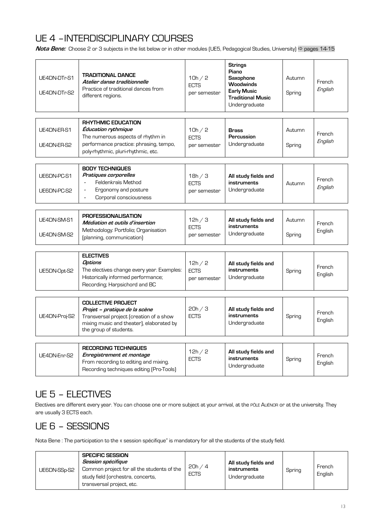# UE 4 –INTERDISCIPLINARY COURSES

**Nota Bene:** Choose 2 or 3 subjects in the list below or in other modules (UE5, Pedagogical Studies, University) ⇒ pages 14-15

| UE4DN-DTr-S1<br>UE4DN-DTr-S2 | <b>TRADITIONAL DANCE</b><br>Atelier danse traditionnelle<br>Practice of traditional dances from<br>different regions.                                                         | 10h / 2<br><b>ECTS</b><br>per semester | <b>Strings</b><br>Piano<br><b>Saxophone</b><br><b>Woodwinds</b><br>Early Music<br><b>Traditional Music</b><br>Undergraduate | Autumn<br>Spring | French<br>English |
|------------------------------|-------------------------------------------------------------------------------------------------------------------------------------------------------------------------------|----------------------------------------|-----------------------------------------------------------------------------------------------------------------------------|------------------|-------------------|
| UE4DN-ER-S1<br>UE4DN-ER-S2   | <b>RHYTHMIC EDUCATION</b><br><b>Education rythmique</b><br>The numerous aspects of rhythm in<br>performance practice: phrasing, tempo,<br>poly-rhythmic, pluri-rhythmic, etc. | 10h / 2<br><b>ECTS</b><br>per semester | <b>Brass</b><br>Percussion<br>Undergraduate                                                                                 | Autumn<br>Spring | French<br>English |
| UE6DN-PC-S1<br>UE6DN-PC-S2   | <b>BODY TECHNIQUES</b><br>Pratiques corporelles<br>Feldenkraïs Method<br>Ergonomy and posture<br>$\overline{a}$<br>Corporal consciousness<br>$\overline{a}$                   | 18h / 3<br><b>ECTS</b><br>per semester | All study fields and<br>instruments<br>Undergraduate                                                                        | Autumn           | French<br>English |
| UE4DN-SM-S1<br>UE4DN-SM-S2   | <b>PROFESSIONALISATION</b><br>Médiation et outils d'insertion<br>Methodology: Portfolio; Organisation<br>(planning, communication)                                            | 12h/3<br><b>ECTS</b><br>per semester   | All study fields and<br>instruments<br>Undergraduate                                                                        | Autumn<br>Spring | French<br>English |
| UE5DN-Opt-S2                 | <b>ELECTIVES</b><br>Options<br>The electives change every year. Examples:<br>Historically informed performance;<br>Recording; Harpsichord and BC                              | 12h/2<br><b>ECTS</b><br>per semester   | All study fields and<br>instruments<br>Undergraduate                                                                        | Spring           | French<br>English |
| UE4DN-Proj-S2                | <b>COLLECTIVE PROJECT</b><br>Projet - pratique de la scène<br>Transversal project (creation of a show<br>mixing music and theater), elaborated by<br>the group of students.   | 20h / 3<br><b>ECTS</b>                 | All study fields and<br>instruments<br>Undergraduate                                                                        | Spring           | French<br>English |
| UE4DN-Enr-S2                 | <b>RECORDING TECHNIQUES</b><br>Enregistrement et montage<br>From recording to editing and mixing.<br>Recording techniques editing (Pro-Tools)                                 | 12h / 2<br><b>ECTS</b>                 | All study fields and<br>instruments<br>Undergraduate                                                                        | Spring           | French<br>English |

## UE 5 – ELECTIVES

Electives are different every year. You can choose one or more subject at your arrival, at the PÔLE ALIÉNOR or at the university. They are usually 3 ECTS each.

## UE 6 – SESSIONS

Nota Bene : The participation to the « session spécifique" is mandatory for all the students of the study field.

| <b>SPECIFIC SESSION</b><br>Session spécifique<br>Common project for all the students of the<br>UE6DN-SSp-S2<br>study field (orchestra, concerts,<br>transversal project, etc. | 20h/4<br><b>ECTS</b> | All study fields and<br>instruments<br>Undergraduate | Spring | French<br>English |
|-------------------------------------------------------------------------------------------------------------------------------------------------------------------------------|----------------------|------------------------------------------------------|--------|-------------------|
|-------------------------------------------------------------------------------------------------------------------------------------------------------------------------------|----------------------|------------------------------------------------------|--------|-------------------|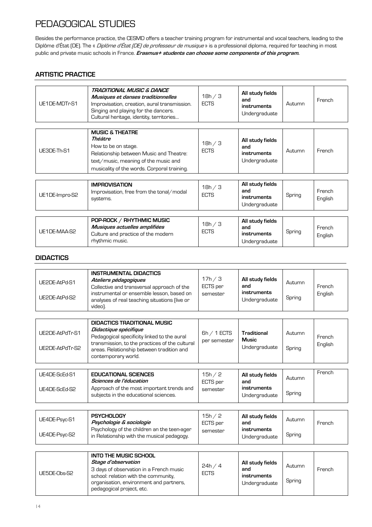# PEDAGOGICAL STUDIES

Besides the performance practice, the CESMD offers a teacher training program for instrumental and vocal teachers, leading to the Diplôme d'État (DE). The « *Diplôme d'État (DE) de professeur de musique* » is a professional diploma, required for teaching in most public and private music schools in France. **Erasmus+ students can choose some components of this program.**

### **ARTISTIC PRACTICE**

| UE1DE-MDTr-S1 | TRADITIONAL MUSIC & DANCE<br>Musiques et danses traditionnelles<br>Improvisation, creation, aural transmission.<br>Singing and playing for the dancers.<br>Cultural heritage, identity, territories | 18h / 3<br><b>ECTS</b> | All study fields<br>and<br>instruments<br>Undergraduate | Autumn | French |
|---------------|-----------------------------------------------------------------------------------------------------------------------------------------------------------------------------------------------------|------------------------|---------------------------------------------------------|--------|--------|
| UE3DE-Th-S1   | <b>MUSIC &amp; THEATRE</b><br>Théâtre<br>How to be on stage.<br>Relationship between Music and Theatre:<br>text/music, meaning of the music and<br>musicality of the words. Corporal training.      | 18h / 3<br><b>ECTS</b> | All study fields<br>and<br>instruments<br>Undergraduate | Autumn | French |

| UE1DE-Impro-S2 | <b>IMPROVISATION</b><br>Improvisation, free from the tonal/modal<br>systems.                                        | 18h / 3<br><b>ECTS</b> | All study fields<br>and<br>instruments<br>Undergraduate | Spring | French<br>English |
|----------------|---------------------------------------------------------------------------------------------------------------------|------------------------|---------------------------------------------------------|--------|-------------------|
| UE1DE-MAA-S2   | POP-ROCK / RHYTHMIC MUSIC<br>Musiques actuelles amplifiées<br>Culture and practice of the modern<br>rhythmic music. | 18h / 3<br><b>ECTS</b> | All study fields<br>and<br>instruments<br>Undergraduate | Spring | French<br>English |

### **DIDACTICS**

| UE2DE-AtPd-S1<br>UE2DE-AtPd-S2     | <b>INSTRUMENTAL DIDACTICS</b><br>Ateliers pédagogiques<br>Collective and transversal approach of the<br>instrumental or ensemble lesson, based on<br>analyses of real teaching situations (live or<br>video).                    | 17h / 3<br>ECTS per<br>semester | All study fields<br>and<br>instruments<br>Undergraduate | Autumn<br>Spring | French<br>English |
|------------------------------------|----------------------------------------------------------------------------------------------------------------------------------------------------------------------------------------------------------------------------------|---------------------------------|---------------------------------------------------------|------------------|-------------------|
|                                    |                                                                                                                                                                                                                                  |                                 |                                                         |                  |                   |
| UE2DE-AtPdTr-S1<br>UE2DE-AtPdTr-S2 | <b>DIDACTICS TRADITIONAL MUSIC</b><br>Didactique spécifique<br>Pedagogical specificity linked to the aural<br>transmission, to the practices of the cultural<br>areas. Relationship between tradition and<br>contemporary world. | $6h / 1$ ECTS<br>per semester   | <b>Traditional</b><br><b>Music</b><br>Undergraduate     | Autumn<br>Spring | French<br>English |
|                                    |                                                                                                                                                                                                                                  |                                 |                                                         |                  |                   |
| UE4DE-ScEd-S1<br>UE4DE-ScEd-S2     | <b>EDUCATIONAL SCIENCES</b><br>Sciences de l'éducation<br>Approach of the most important trends and<br>subjects in the educational sciences.                                                                                     | 15h / 2<br>ECTS per<br>semester | All study fields<br>and<br>instruments<br>Undergraduate | Autumn<br>Spring | French            |
|                                    |                                                                                                                                                                                                                                  |                                 |                                                         |                  |                   |
| UE4DE-Psyc-S1<br>UE4DE-Psyc-S2     | <b>PSYCHOLOGY</b><br>Psychologie & sociologie<br>Psychology of the children an the teen-ager                                                                                                                                     | 15h / 2<br>ECTS per<br>semester | All study fields<br>and<br>instruments                  | Autumn<br>Spring | French            |
|                                    | in Relationship with the musical pedagogy.                                                                                                                                                                                       |                                 | Undergraduate                                           |                  |                   |

| UE5DE-Obs-S2 | <b>INTO THE MUSIC SCHOOL</b><br>Stage d'observation<br>3 days of observation in a French music<br>school: relation with the community,<br>organisation, environment and partners,<br>pedagogical project, etc. | 24h/4<br><b>ECTS</b> | All study fields<br>and<br>instruments<br>Undergraduate | Autumn<br>Spring | French |
|--------------|----------------------------------------------------------------------------------------------------------------------------------------------------------------------------------------------------------------|----------------------|---------------------------------------------------------|------------------|--------|
|--------------|----------------------------------------------------------------------------------------------------------------------------------------------------------------------------------------------------------------|----------------------|---------------------------------------------------------|------------------|--------|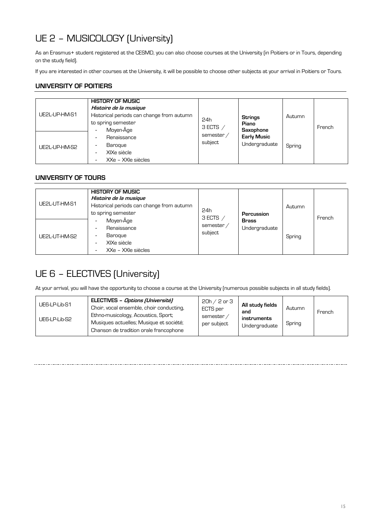# UE 2 – MUSICOLOGY (University)

As an Erasmus+ student registered at the CESMD, you can also choose courses at the University (in Poitiers or in Tours, depending on the study field).

If you are interested in other courses at the University, it will be possible to choose other subjects at your arrival in Poitiers or Tours.

### **UNIVERSITY OF POITIERS**

| UE2L-UP-HM-S1 | <b>HISTORY OF MUSIC</b><br>Histoire de la musique<br>Historical periods can change from autumn<br>to spring semester<br>Moyen-Âge | 24h<br>3 ECTS $/$     | <b>Strings</b><br>Piano                          | Autumn | French |
|---------------|-----------------------------------------------------------------------------------------------------------------------------------|-----------------------|--------------------------------------------------|--------|--------|
| UE2L-UP-HM-S2 | Renaissance<br>Baroque<br>$\overline{\phantom{a}}$<br>XIXe siècle<br>-<br>XXe - XXIe siècles                                      | semester /<br>subject | Saxophone<br><b>Early Music</b><br>Undergraduate | Spring |        |

### **UNIVERSITY OF TOURS**

| UE2L-UT-HM-S1 | <b>HISTORY OF MUSIC</b><br>Histoire de la musique<br>Historical periods can change from autumn<br>to spring semester                                                                     | 24h<br>3 ECTS $/$     | Percussion                    | Autumn | French |
|---------------|------------------------------------------------------------------------------------------------------------------------------------------------------------------------------------------|-----------------------|-------------------------------|--------|--------|
| UE2L-UT-HM-S2 | Moyen-Âge<br>$\overline{\phantom{0}}$<br>Renaissance<br>$\overline{\phantom{0}}$<br>Baroque<br>$\overline{\phantom{a}}$<br>XIXe siècle<br>$\overline{\phantom{a}}$<br>XXe - XXIe siècles | semester /<br>subject | <b>Brass</b><br>Undergraduate | Spring |        |

## UE 6 – ELECTIVES (University)

At your arrival, you will have the opportunity to choose a course at the University (numerous possible subjects in all study fields).

| ELECTIVES - Options (Université)<br>UE6-LP-Lib-S1<br>Choir, vocal ensemble, choir conducting,<br>Ethno-musicology, Acoustics, Sport;<br>UE6-LP-Lib-S2<br>Musiques actuelles; Musique et société;<br>Chanson de tradition orale francophone | $20h / 2$ or $3$<br>ECTS per<br>semester<br>per subject | All study fields<br>and<br>instruments<br>Undergraduate | Autumn<br>Spring | French |
|--------------------------------------------------------------------------------------------------------------------------------------------------------------------------------------------------------------------------------------------|---------------------------------------------------------|---------------------------------------------------------|------------------|--------|
|--------------------------------------------------------------------------------------------------------------------------------------------------------------------------------------------------------------------------------------------|---------------------------------------------------------|---------------------------------------------------------|------------------|--------|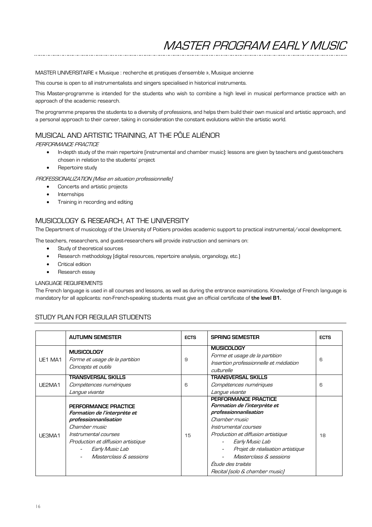MASTER UNIVERSITAIRE « Musique : recherche et pratiques d'ensemble », Musique ancienne

This course is open to all instrumentalists and singers specialised in historical instruments.

This Master-programme is intended for the students who wish to combine a high level in musical performance practice with an approach of the academic research.

The programme prepares the students to a diversity of professions, and helps them build their own musical and artistic approach, and a personal approach to their career, taking in consideration the constant evolutions within the artistic world.

### MUSICAL AND ARTISTIC TRAINING, AT THE PÔLE ALIÉNOR

PERFORMANCE PRACTICE

- In-depth study of the main repertoire (instrumental and chamber music): lessons are given by teachers and guest-teachers chosen in relation to the students' project
- Repertoire study

PROFESSIONALIZATION (Mise en situation professionnelle)

- Concerts and artistic projects
- **Internships**
- Training in recording and editing

### MUSICOLOGY & RESEARCH, AT THE UNIVERSITY

The Department of musicology of the University of Poitiers provides academic support to practical instrumental/vocal development.

The teachers, researchers, and guest-researchers will provide instruction and seminars on:

- Study of theoretical sources
- Research methodology (digital resources, repertoire analysis, organology, etc.)
- Critical edition
- Research essay

#### LANGUAGE REQUIREMENTS

The French language is used in all courses and lessons, as well as during the entrance examinations. Knowledge of French language is mandatory for all applicants: non-French-speaking students must give an official certificate of **the level B1.**

#### STUDY PLAN FOR REGULAR STUDENTS

|         | <b>AUTUMN SEMESTER</b>                                                                                                                                                                                               | <b>ECTS</b> | <b>SPRING SEMESTER</b>                                                                                                                                                                                                                                                                               | <b>ECTS</b> |
|---------|----------------------------------------------------------------------------------------------------------------------------------------------------------------------------------------------------------------------|-------------|------------------------------------------------------------------------------------------------------------------------------------------------------------------------------------------------------------------------------------------------------------------------------------------------------|-------------|
| UE1 MA1 | <b>MUSICOLOGY</b><br>Forme et usage de la partition<br>Concepts et outils                                                                                                                                            | 9           | <b>MUSICOLOGY</b><br>Forme et usage de la partition<br>Insertion professionnelle et médiation<br>culturelle                                                                                                                                                                                          | 6           |
| UE2MA1  | <b>TRANSVERSAL SKILLS</b><br>Compétences numériques<br>Langue vivante                                                                                                                                                | 6           | <b>TRANSVERSAL SKILLS</b><br>Compétences numériques<br>Langue vivante                                                                                                                                                                                                                                | 6           |
| UE3MA1  | PERFORMANCE PRACTICE<br>Formation de l'interprète et<br>professionnanlisation<br>Chamber music<br>Instrumental courses<br>Production et diffusion artistique<br>Early Music Lab<br><i>Masterclass &amp; sessions</i> | 15          | PERFORMANCE PRACTICE<br>Formation de l'interprète et<br>professionnanlisation<br>Chamber music<br>Instrumental courses<br>Production et diffusion artistique<br>Early Music Lab<br>Projet de réalisation artistique<br>Masterclass & sessions<br>Étude des traités<br>Recital (solo & chamber music) | 18          |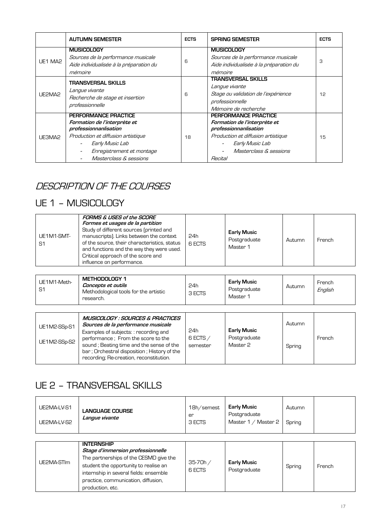|         | <b>AUTUMN SEMESTER</b>                                                                                                                                                                        | <b>ECTS</b> | <b>SPRING SEMESTER</b>                                                                                                                                                      | <b>ECTS</b> |
|---------|-----------------------------------------------------------------------------------------------------------------------------------------------------------------------------------------------|-------------|-----------------------------------------------------------------------------------------------------------------------------------------------------------------------------|-------------|
| UE1 MA2 | <b>MUSICOLOGY</b><br>Sources de la performance musicale<br>Aide individualisée à la préparation du<br>mémoire                                                                                 | 6           | <b>MUSICOLOGY</b><br>Sources de la performance musicale<br>Aide individualisée à la préparation du<br>mémoire                                                               | З           |
| UE2MA2  | <b>TRANSVERSAL SKILLS</b><br>Langue vivante<br>Recherche de stage et insertion<br>professionnelle                                                                                             | 6           | <b>TRANSVERSAL SKILLS</b><br>Langue vivante<br>Stage ou validation de l'expérience<br>professionnelle<br>Mémoire de recherche                                               | 12          |
| UE3MA2  | PERFORMANCE PRACTICE<br>Formation de l'interprète et<br>professionnanlisation<br>Production et diffusion artistique<br>Early Music Lab<br>Enregistrement et montage<br>Masterclass & sessions | 18          | PERFORMANCE PRACTICE<br>Formation de l'interprète et<br>professionnanlisation<br>Production et diffusion artistique<br>Early Music Lab<br>Masterclass & sessions<br>Recital | 15          |

# DESCRIPTION OF THE COURSES

# UE 1 – MUSICOLOGY

| UE1M1-SMT-<br>S1 | FORMS & USES of the SCORE<br>Formes et usages de la partition<br>Study of different sources (printed and<br>manuscripts). Links between the context<br>of the source, their characteristics, status<br>and functions and the way they were used.<br>Critical approach of the score and<br>influence on performance. | 24h<br>6 ECTS | Early Music<br>Postgraduate<br>Master 1 | Autumn | French |
|------------------|---------------------------------------------------------------------------------------------------------------------------------------------------------------------------------------------------------------------------------------------------------------------------------------------------------------------|---------------|-----------------------------------------|--------|--------|
|------------------|---------------------------------------------------------------------------------------------------------------------------------------------------------------------------------------------------------------------------------------------------------------------------------------------------------------------|---------------|-----------------------------------------|--------|--------|

| UE1M1-Meth-<br>S1 | METHODOLOGY 1<br><i>Concepts et outils</i><br>Methodological tools for the artistic<br>research. | 24h<br>3 ECTS | <b>Early Music</b><br>Postaraduate<br>Master " | Autumn | French<br>English |
|-------------------|--------------------------------------------------------------------------------------------------|---------------|------------------------------------------------|--------|-------------------|
|-------------------|--------------------------------------------------------------------------------------------------|---------------|------------------------------------------------|--------|-------------------|

| MUSICOLOGY : SOURCES & PRACTICES<br>Sources de la performance musicale<br>UE1M2-SSp-S1<br>Examples of subjects: : recording and<br>performance; From the score to the<br>UE1M2-SSp-S2<br>sound; Beating time and the sense of the<br>bar; Orchestral disposition; History of the<br>recording; Re-creation, reconstitution. | 24h<br>6 ECTS /<br>semester | Early Music<br>Postgraduate<br>Master 2 | Autumn<br>Spring | French |
|-----------------------------------------------------------------------------------------------------------------------------------------------------------------------------------------------------------------------------------------------------------------------------------------------------------------------------|-----------------------------|-----------------------------------------|------------------|--------|
|-----------------------------------------------------------------------------------------------------------------------------------------------------------------------------------------------------------------------------------------------------------------------------------------------------------------------------|-----------------------------|-----------------------------------------|------------------|--------|

# UE 2 – TRANSVERSAL SKILLS

| UE2MA-LV-S1<br>UE2MA-LV-S2 | <b>LANGUAGE COURSE</b><br>Langue vivante                                                                                                                                                                                                       | 18h/semest<br>er<br>3 ECTS | <b>Early Music</b><br>Postgraduate<br>Master $1 / M$ aster 2 | Autumn<br>Spring |        |
|----------------------------|------------------------------------------------------------------------------------------------------------------------------------------------------------------------------------------------------------------------------------------------|----------------------------|--------------------------------------------------------------|------------------|--------|
|                            |                                                                                                                                                                                                                                                |                            |                                                              |                  |        |
| UE2MA-STIm                 | <b>INTERNSHIP</b><br>Stage d'immersion professionnelle<br>The partnerships of the CESMD give the<br>student the opportunity to realise an<br>internship in several fields: ensemble<br>practice, communication, diffusion,<br>production, etc. | $35-70h/$<br>6 ECTS        | <b>Early Music</b><br>Postgraduate                           | Spring           | French |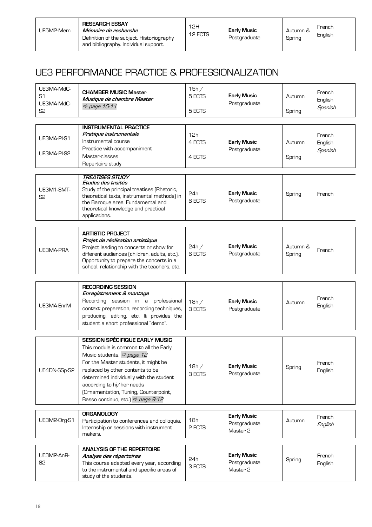| <b>RESEARCH ESSAY</b><br>UE5M2-Mem<br>Mémoire de recherche<br>Definition of the subject. Historiography<br>and bibliography. Individual support. | 12H<br>12 ECTS | <b>Early Music</b><br>Postgraduate | Autumn &<br>Spring | French<br>English |
|--------------------------------------------------------------------------------------------------------------------------------------------------|----------------|------------------------------------|--------------------|-------------------|
|--------------------------------------------------------------------------------------------------------------------------------------------------|----------------|------------------------------------|--------------------|-------------------|

## UE3 PERFORMANCE PRACTICE & PROFESSIONALIZATION

| UE3MA-MdC-<br>S <sub>1</sub><br>UE3MA-MdC-<br>S <sub>2</sub> | <b>CHAMBER MUSIC Master</b><br>Musique de chambre Master<br>$Arr$ page 10-11                                                                                                                                                                                                                                                                                            | 15h/<br>5 ECTS<br>5 ECTS | <b>Early Music</b><br>Postgraduate             | Autumn<br>Spring   | French<br>English<br>Spanish |
|--------------------------------------------------------------|-------------------------------------------------------------------------------------------------------------------------------------------------------------------------------------------------------------------------------------------------------------------------------------------------------------------------------------------------------------------------|--------------------------|------------------------------------------------|--------------------|------------------------------|
| UE3MA-PI-S1<br>UE3MA-PI-S2                                   | <b>INSTRUMENTAL PRACTICE</b><br>Pratique instrumentale<br>Instrumental course<br>Practice with accompaniment<br>Master-classes<br>Repertoire study                                                                                                                                                                                                                      | 12h<br>4 ECTS<br>4 ECTS  | <b>Early Music</b><br>Postgraduate             | Autumn<br>Spring   | French<br>English<br>Spanish |
| UE3M1-SMT-<br>S <sub>2</sub>                                 | <b>TREATISES STUDY</b><br>Etudes des traités<br>Study of the principal treatises (Rhetoric,<br>theoretical texts, instrumental methods) in<br>the Baroque area. Fundamental and<br>theoretical knowledge and practical<br>applications.                                                                                                                                 | 24h<br>6 ECTS            | <b>Early Music</b><br>Postgraduate             | Spring             | French                       |
| <b>UE3MA-PRA</b>                                             | <b>ARTISTIC PROJECT</b><br>Projet de réalisation artistique<br>Project leading to concerts or show for<br>different audiences (children, adults, etc.).<br>Opportunity to prepare the concerts in a<br>school, relationship with the teachers, etc.                                                                                                                     | 24h/<br><b>6 ECTS</b>    | <b>Early Music</b><br>Postgraduate             | Autumn &<br>Spring | French                       |
| UE3MA-EnrM                                                   | <b>RECORDING SESSION</b><br>Enregistrement & montage<br>Recording session in a professional<br>context: preparation, recording techniques,<br>producing, editing, etc. It provides the<br>student a short professional "demo".                                                                                                                                          | 18h/<br>3 ECTS           | <b>Early Music</b><br>Postgraduate             | Autumn             | French<br>English            |
| UE4DN-SSp-S2                                                 | <b>SESSION SPÉCIFIQUE EARLY MUSIC</b><br>This module is common to all the Early<br>Music students. $\Rightarrow$ page 12<br>For the Master students, it might be<br>replaced by other contents to be<br>determined individually with the student<br>according to hi/her needs<br>(Ornamentation, Tuning, Counterpoint,<br>Basso continuo, etc.) $\Rightarrow$ page 9-12 | 18h/<br>3 ECTS           | <b>Early Music</b><br>Postgraduate             | Spring             | French<br>English            |
| UE3M2-Org-S1                                                 | <b>ORGANOLOGY</b><br>Participation to conferences and colloquia.<br>Internship or sessions with instrument<br>makers.                                                                                                                                                                                                                                                   | 18h<br>2 ECTS            | <b>Early Music</b><br>Postgraduate<br>Master 2 | Autumn             | French<br>English            |
| UE3M2-AnR-<br>S <sub>2</sub>                                 | <b>ANALYSIS OF THE REPERTOIRE</b><br>Analyse des répertoires<br>This course adapted every year, according<br>to the instrumental and specific areas of<br>study of the students.                                                                                                                                                                                        | 24h<br>3 ECTS            | <b>Early Music</b><br>Postgraduate<br>Master 2 | Spring             | French<br>English            |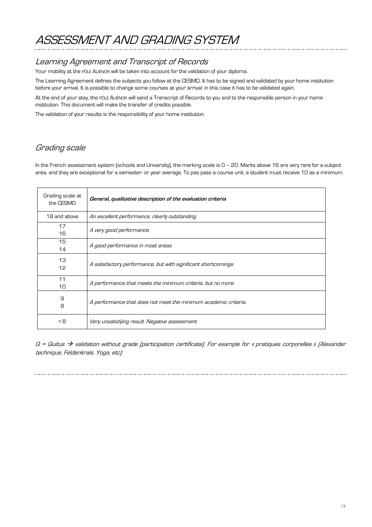# ASSESSMENT AND GRADING SYSTEM

## Learning Agreement and Transcript of Records

Your mobility at the PÔLE ALIÉNOR will be taken into account for the validation of your diploma.

The Learning Agreement defines the subjects you follow at the CESMD. It has to be signed and validated by your home institution before your arrival. It is possible to change some courses at your arrival: in this case it has to be validated again.

At the end of your stay, the PÔLE ALIÉNOR will send a Transcript of Records to you and to the responsible person in your home institution. This document will make the transfer of credits possible.

The validation of your results is the responsibility of your home institution.

## Grading scale

In the French assessment system (schools and University), the marking scale is 0 – 20. Marks above 16 are very rare for a subject area, and they are exceptional for a semester- or year average. To pas pass a course unit, a student must receive 10 as a minimum.

| Grading scale at<br>the CESMD | General, qualitative description of the evaluation criteria     |
|-------------------------------|-----------------------------------------------------------------|
| 18 and above                  | An excellent performance, clearly outstanding.                  |
| 17<br>16                      | A very good performance.                                        |
| 15<br>14                      | A good performance in most areas.                               |
| 13<br>12                      | A satisfactory performance, but with significant shortcomings.  |
| 11<br>10                      | A performance that meets the minimum criteria, but no more.     |
| 9<br>8                        | A performance that does not meet the minimum academic criteria. |
| $\leq$ 8                      | Very unsatisfying result. Negative assessment.                  |

 $Q =$  Quitus  $\rightarrow$  validation without grade (participation certificate). For example for « pratiques corporelles » (Alexander technique, Feldenkraïs, Yoga, etc).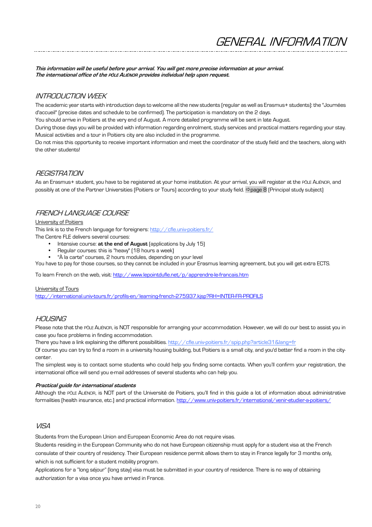GENERAL INFORMATION

**This information will be useful before your arrival. You will get more precise information at your arrival. The international office of the PÔLE ALIÉNOR provides individual help upon request.**

### INTRODUCTION WEEK

The academic year starts with introduction days to welcome all the new students (regular as well as Erasmus+ students): the "Journées d'accueil" (precise dates and schedule to be confirmed). The participation is mandatory on the 2 days.

You should arrive in Poitiers at the very end of August. A more detailed programme will be sent in late August.

During those days you will be provided with information regarding enrolment, study services and practical matters regarding your stay. Musical activities and a tour in Poitiers city are also included in the programme.

Do not miss this opportunity to receive important information and meet the coordinator of the study field and the teachers, along with the other students!

#### REGISTRATION

As an Erasmus+ student, you have to be registered at your home institution. At your arrival, you will register at the PÔLE ALIÉNOR, and possibly at one of the Partner Universities (Poitiers or Tours) according to your study field. ðpage 8 (Principal study subject)

### FRENCH LANGUAGE COURSE

#### University of Poitiers

This link is to the French language for foreigners: http://cfle.univ-poitiers.fr/

The Centre FLE delivers several courses:

- Intensive course: **at the end of August** (applications by July 15)
- Regular courses: this is "heavy" (18 hours a week)
- "À la carte" courses, 2 hours modules, depending on your level

You have to pay for those courses, so they cannot be included in your Erasmus learning agreement, but you will get extra ECTS.

To learn French on the web, visit: http://www.lepointdufle.net/p/apprendre-le-francais.htm

#### University of Tours

http://international.univ-tours.fr/profils-en/learning-french-275937.kjsp?RH=INTER-FR-PROFILS

### $HOMISINIG$

Please note that the PÔLE ALIÉNOR, is NOT responsible for arranging your accommodation. However, we will do our best to assist you in case you face problems in finding accommodation.

There you have a link explaining the different possibilities. http://cfle.univ-poitiers.fr/spip.php?article31&lang=fr

Of course you can try to find a room in a university housing building, but Poitiers is a small city, and you'd better find a room in the citycenter.

The simplest way is to contact some students who could help you finding some contacts. When you'll confirm your registration, the international office will send you e-mail addresses of several students who can help you.

#### **Practical guide for international students**

Although the PÔLE ALIÉNOR, is NOT part of the Université de Poitiers, you'll find in this guide a lot of information about administrative formalities (health insurance, etc.) and practical information. http://www.univ-poitiers.fr/international/venir-etudier-a-poitiers/

### VISA

Students from the European Union and European Economic Area do not require visas.

Students residing in the European Community who do not have European citizenship must apply for a student visa at the French consulate of their country of residency. Their European residence permit allows them to stay in France legally for 3 months only, which is not sufficient for a student mobility program.

Applications for a "long séjour" (long stay) visa must be submitted in your country of residence. There is no way of obtaining authorization for a visa once you have arrived in France.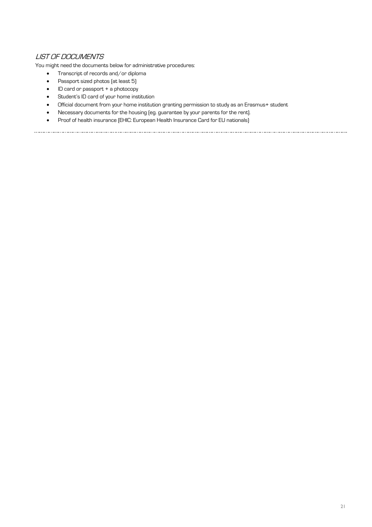### LIST OF DOCUMENTS

You might need the documents below for administrative procedures:

- Transcript of records and/or diploma
- Passport sized photos (at least 5)
- ID card or passport + a photocopy
- Student's ID card of your home institution
- Official document from your home institution granting permission to study as an Erasmus+ student

- Necessary documents for the housing (eg. guarantee by your parents for the rent).
- Proof of health insurance (EHIC: European Health Insurance Card for EU nationals)